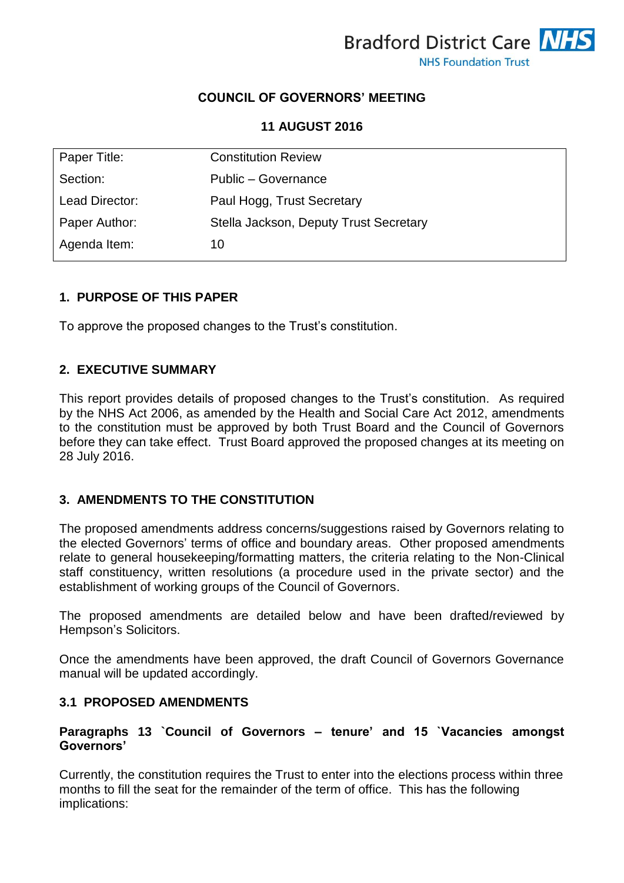

# **COUNCIL OF GOVERNORS' MEETING**

## **11 AUGUST 2016**

| Paper Title:   | <b>Constitution Review</b>             |
|----------------|----------------------------------------|
| Section:       | Public - Governance                    |
| Lead Director: | Paul Hogg, Trust Secretary             |
| Paper Author:  | Stella Jackson, Deputy Trust Secretary |
| Agenda Item:   | 10                                     |

## **1. PURPOSE OF THIS PAPER**

To approve the proposed changes to the Trust's constitution.

## **2. EXECUTIVE SUMMARY**

This report provides details of proposed changes to the Trust's constitution. As required by the NHS Act 2006, as amended by the Health and Social Care Act 2012, amendments to the constitution must be approved by both Trust Board and the Council of Governors before they can take effect. Trust Board approved the proposed changes at its meeting on 28 July 2016.

## **3. AMENDMENTS TO THE CONSTITUTION**

The proposed amendments address concerns/suggestions raised by Governors relating to the elected Governors' terms of office and boundary areas. Other proposed amendments relate to general housekeeping/formatting matters, the criteria relating to the Non-Clinical staff constituency, written resolutions (a procedure used in the private sector) and the establishment of working groups of the Council of Governors.

The proposed amendments are detailed below and have been drafted/reviewed by Hempson's Solicitors.

Once the amendments have been approved, the draft Council of Governors Governance manual will be updated accordingly.

## **3.1 PROPOSED AMENDMENTS**

#### **Paragraphs 13 `Council of Governors – tenure' and 15 `Vacancies amongst Governors'**

Currently, the constitution requires the Trust to enter into the elections process within three months to fill the seat for the remainder of the term of office. This has the following implications: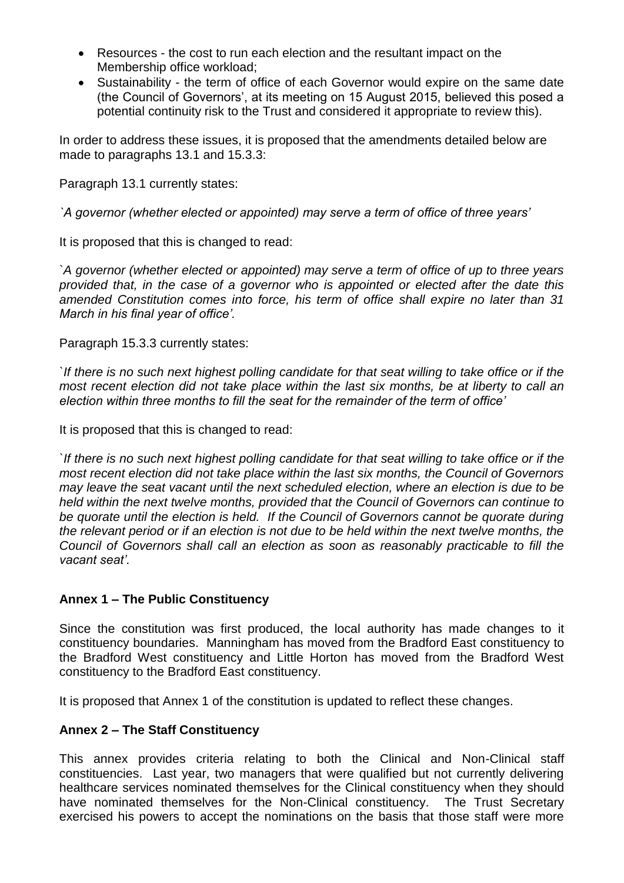- Resources the cost to run each election and the resultant impact on the Membership office workload;
- Sustainability the term of office of each Governor would expire on the same date (the Council of Governors', at its meeting on 15 August 2015, believed this posed a potential continuity risk to the Trust and considered it appropriate to review this).

In order to address these issues, it is proposed that the amendments detailed below are made to paragraphs 13.1 and 15.3.3:

Paragraph 13.1 currently states:

*`A governor (whether elected or appointed) may serve a term of office of three years'*

It is proposed that this is changed to read:

`*A governor (whether elected or appointed) may serve a term of office of up to three years provided that, in the case of a governor who is appointed or elected after the date this amended Constitution comes into force, his term of office shall expire no later than 31 March in his final year of office'.*

Paragraph 15.3.3 currently states:

*`If there is no such next highest polling candidate for that seat willing to take office or if the most recent election did not take place within the last six months, be at liberty to call an election within three months to fill the seat for the remainder of the term of office'*

It is proposed that this is changed to read:

*`If there is no such next highest polling candidate for that seat willing to take office or if the most recent election did not take place within the last six months, the Council of Governors may leave the seat vacant until the next scheduled election, where an election is due to be held within the next twelve months, provided that the Council of Governors can continue to be quorate until the election is held. If the Council of Governors cannot be quorate during the relevant period or if an election is not due to be held within the next twelve months, the Council of Governors shall call an election as soon as reasonably practicable to fill the vacant seat'.*

## **Annex 1 – The Public Constituency**

Since the constitution was first produced, the local authority has made changes to it constituency boundaries. Manningham has moved from the Bradford East constituency to the Bradford West constituency and Little Horton has moved from the Bradford West constituency to the Bradford East constituency.

It is proposed that Annex 1 of the constitution is updated to reflect these changes.

## **Annex 2 – The Staff Constituency**

This annex provides criteria relating to both the Clinical and Non-Clinical staff constituencies. Last year, two managers that were qualified but not currently delivering healthcare services nominated themselves for the Clinical constituency when they should have nominated themselves for the Non-Clinical constituency. The Trust Secretary exercised his powers to accept the nominations on the basis that those staff were more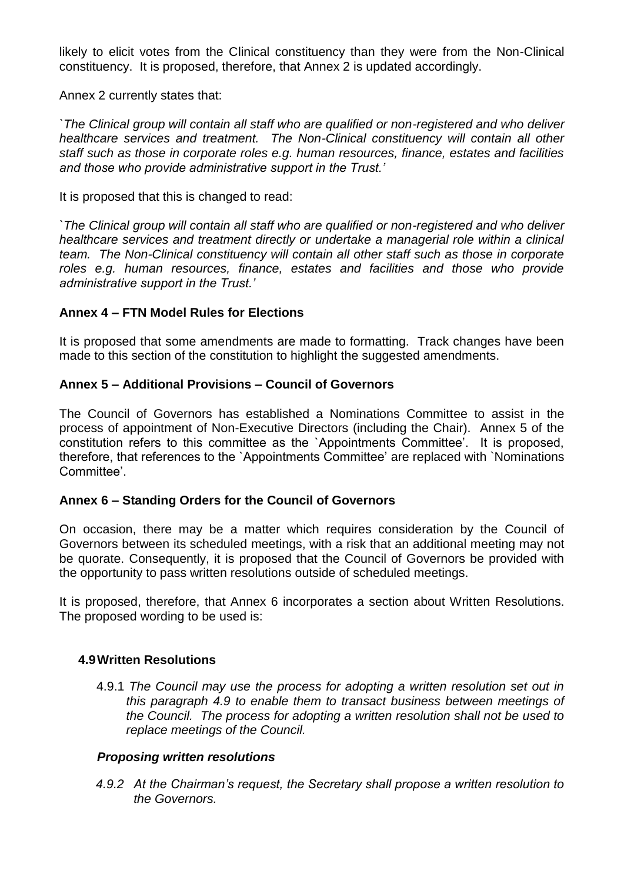likely to elicit votes from the Clinical constituency than they were from the Non-Clinical constituency. It is proposed, therefore, that Annex 2 is updated accordingly.

Annex 2 currently states that:

*`The Clinical group will contain all staff who are qualified or non-registered and who deliver healthcare services and treatment. The Non-Clinical constituency will contain all other staff such as those in corporate roles e.g. human resources, finance, estates and facilities and those who provide administrative support in the Trust.'*

It is proposed that this is changed to read:

*`The Clinical group will contain all staff who are qualified or non-registered and who deliver healthcare services and treatment directly or undertake a managerial role within a clinical team. The Non-Clinical constituency will contain all other staff such as those in corporate roles e.g. human resources, finance, estates and facilities and those who provide administrative support in the Trust.'*

#### **Annex 4 – FTN Model Rules for Elections**

It is proposed that some amendments are made to formatting. Track changes have been made to this section of the constitution to highlight the suggested amendments.

#### **Annex 5 – Additional Provisions – Council of Governors**

The Council of Governors has established a Nominations Committee to assist in the process of appointment of Non-Executive Directors (including the Chair). Annex 5 of the constitution refers to this committee as the `Appointments Committee'. It is proposed, therefore, that references to the `Appointments Committee' are replaced with `Nominations Committee'.

## **Annex 6 – Standing Orders for the Council of Governors**

On occasion, there may be a matter which requires consideration by the Council of Governors between its scheduled meetings, with a risk that an additional meeting may not be quorate. Consequently, it is proposed that the Council of Governors be provided with the opportunity to pass written resolutions outside of scheduled meetings.

It is proposed, therefore, that Annex 6 incorporates a section about Written Resolutions. The proposed wording to be used is:

## **4.9Written Resolutions**

4.9.1 *The Council may use the process for adopting a written resolution set out in this paragraph 4.9 to enable them to transact business between meetings of the Council. The process for adopting a written resolution shall not be used to replace meetings of the Council.*

## *Proposing written resolutions*

*4.9.2 At the Chairman's request, the Secretary shall propose a written resolution to the Governors.*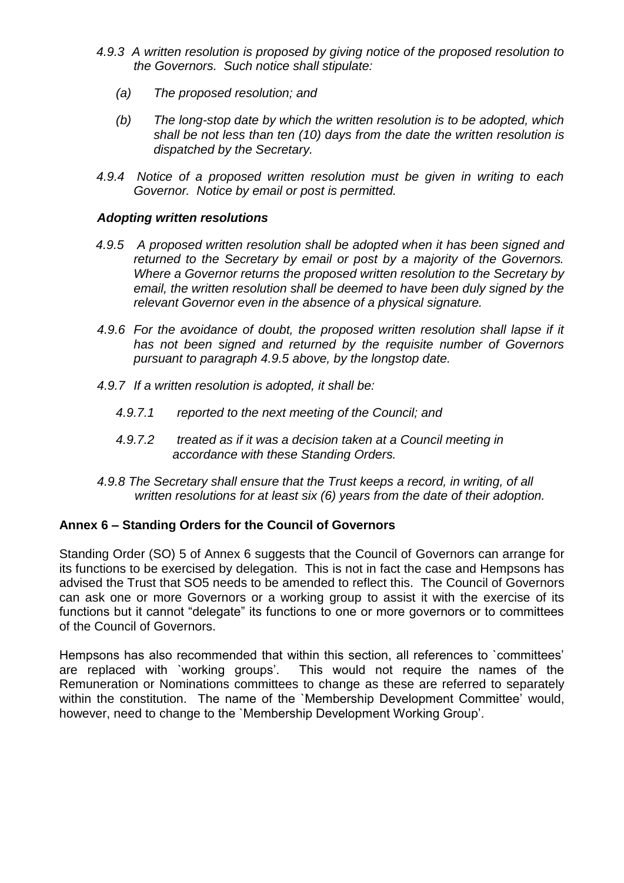- *4.9.3 A written resolution is proposed by giving notice of the proposed resolution to the Governors. Such notice shall stipulate:*
	- *(a) The proposed resolution; and*
	- *(b) The long-stop date by which the written resolution is to be adopted, which shall be not less than ten (10) days from the date the written resolution is dispatched by the Secretary.*
- *4.9.4 Notice of a proposed written resolution must be given in writing to each Governor. Notice by email or post is permitted.*

## *Adopting written resolutions*

- *4.9.5 A proposed written resolution shall be adopted when it has been signed and returned to the Secretary by email or post by a majority of the Governors. Where a Governor returns the proposed written resolution to the Secretary by email, the written resolution shall be deemed to have been duly signed by the relevant Governor even in the absence of a physical signature.*
- *4.9.6 For the avoidance of doubt, the proposed written resolution shall lapse if it has not been signed and returned by the requisite number of Governors pursuant to paragraph 4.9.5 above, by the longstop date.*
- *4.9.7 If a written resolution is adopted, it shall be:*
	- *4.9.7.1 reported to the next meeting of the Council; and*
	- *4.9.7.2 treated as if it was a decision taken at a Council meeting in accordance with these Standing Orders.*
- *4.9.8 The Secretary shall ensure that the Trust keeps a record, in writing, of all written resolutions for at least six (6) years from the date of their adoption.*

## **Annex 6 – Standing Orders for the Council of Governors**

Standing Order (SO) 5 of Annex 6 suggests that the Council of Governors can arrange for its functions to be exercised by delegation. This is not in fact the case and Hempsons has advised the Trust that SO5 needs to be amended to reflect this. The Council of Governors can ask one or more Governors or a working group to assist it with the exercise of its functions but it cannot "delegate" its functions to one or more governors or to committees of the Council of Governors.

Hempsons has also recommended that within this section, all references to `committees' are replaced with `working groups'. This would not require the names of the Remuneration or Nominations committees to change as these are referred to separately within the constitution. The name of the 'Membership Development Committee' would, however, need to change to the `Membership Development Working Group'.